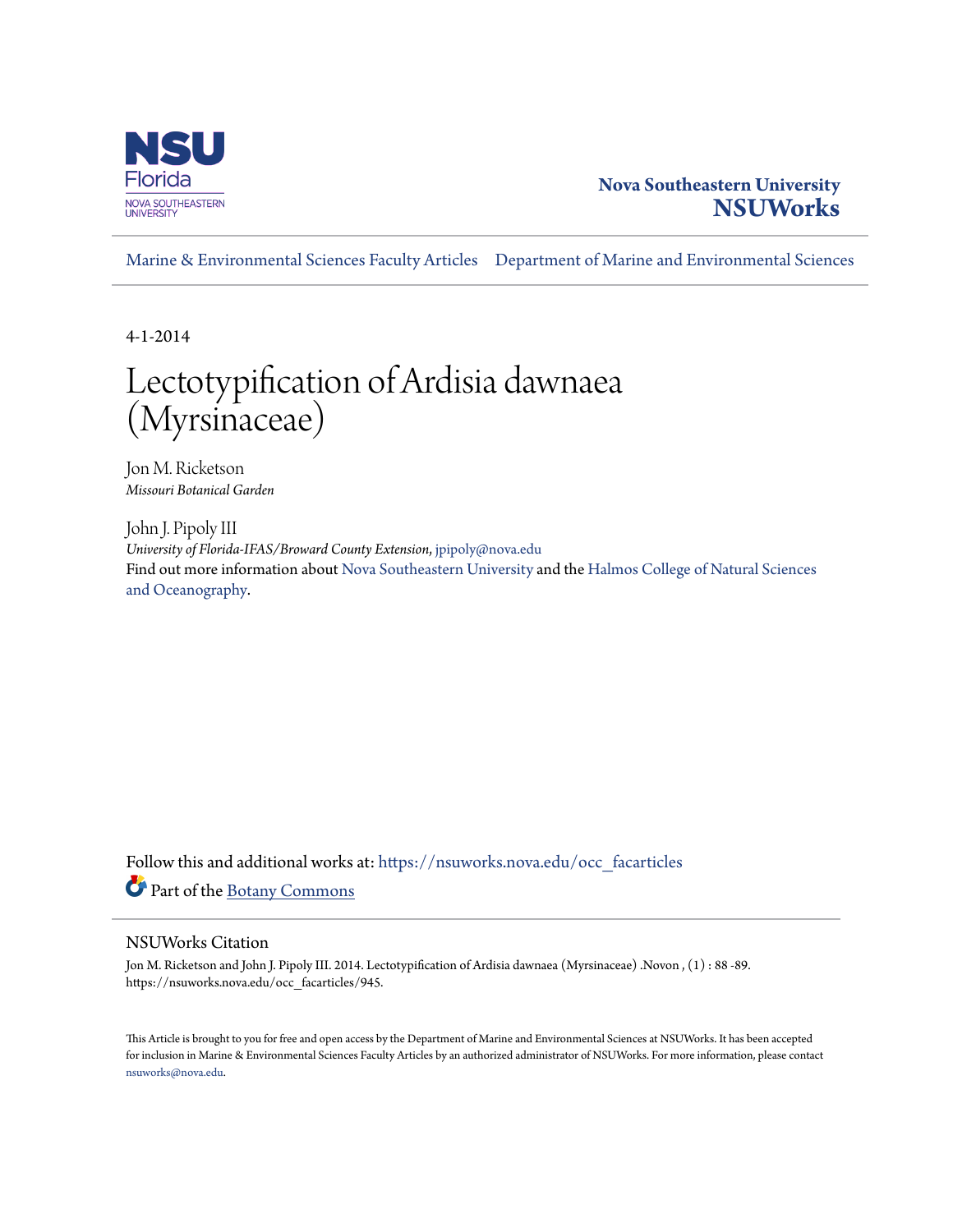

### **Nova Southeastern University [NSUWorks](https://nsuworks.nova.edu?utm_source=nsuworks.nova.edu%2Focc_facarticles%2F945&utm_medium=PDF&utm_campaign=PDFCoverPages)**

[Marine & Environmental Sciences Faculty Articles](https://nsuworks.nova.edu/occ_facarticles?utm_source=nsuworks.nova.edu%2Focc_facarticles%2F945&utm_medium=PDF&utm_campaign=PDFCoverPages) [Department of Marine and Environmental Sciences](https://nsuworks.nova.edu/cnso_mes?utm_source=nsuworks.nova.edu%2Focc_facarticles%2F945&utm_medium=PDF&utm_campaign=PDFCoverPages)

4-1-2014

# Lectotypification of Ardisia dawnaea (Myrsinaceae)

Jon M. Ricketson *Missouri Botanical Garden*

John J. Pipoly III *University of Florida-IFAS/Broward County Extension*, jpipoly@nova.edu Find out more information about [Nova Southeastern University](http://www.nova.edu/) and the [Halmos College of Natural Sciences](https://cnso.nova.edu) [and Oceanography.](https://cnso.nova.edu)

Follow this and additional works at: [https://nsuworks.nova.edu/occ\\_facarticles](https://nsuworks.nova.edu/occ_facarticles?utm_source=nsuworks.nova.edu%2Focc_facarticles%2F945&utm_medium=PDF&utm_campaign=PDFCoverPages) Part of the [Botany Commons](http://network.bepress.com/hgg/discipline/104?utm_source=nsuworks.nova.edu%2Focc_facarticles%2F945&utm_medium=PDF&utm_campaign=PDFCoverPages)

#### NSUWorks Citation

Jon M. Ricketson and John J. Pipoly III. 2014. Lectotypification of Ardisia dawnaea (Myrsinaceae) .Novon , (1) : 88 -89. https://nsuworks.nova.edu/occ\_facarticles/945.

This Article is brought to you for free and open access by the Department of Marine and Environmental Sciences at NSUWorks. It has been accepted for inclusion in Marine & Environmental Sciences Faculty Articles by an authorized administrator of NSUWorks. For more information, please contact [nsuworks@nova.edu.](mailto:nsuworks@nova.edu)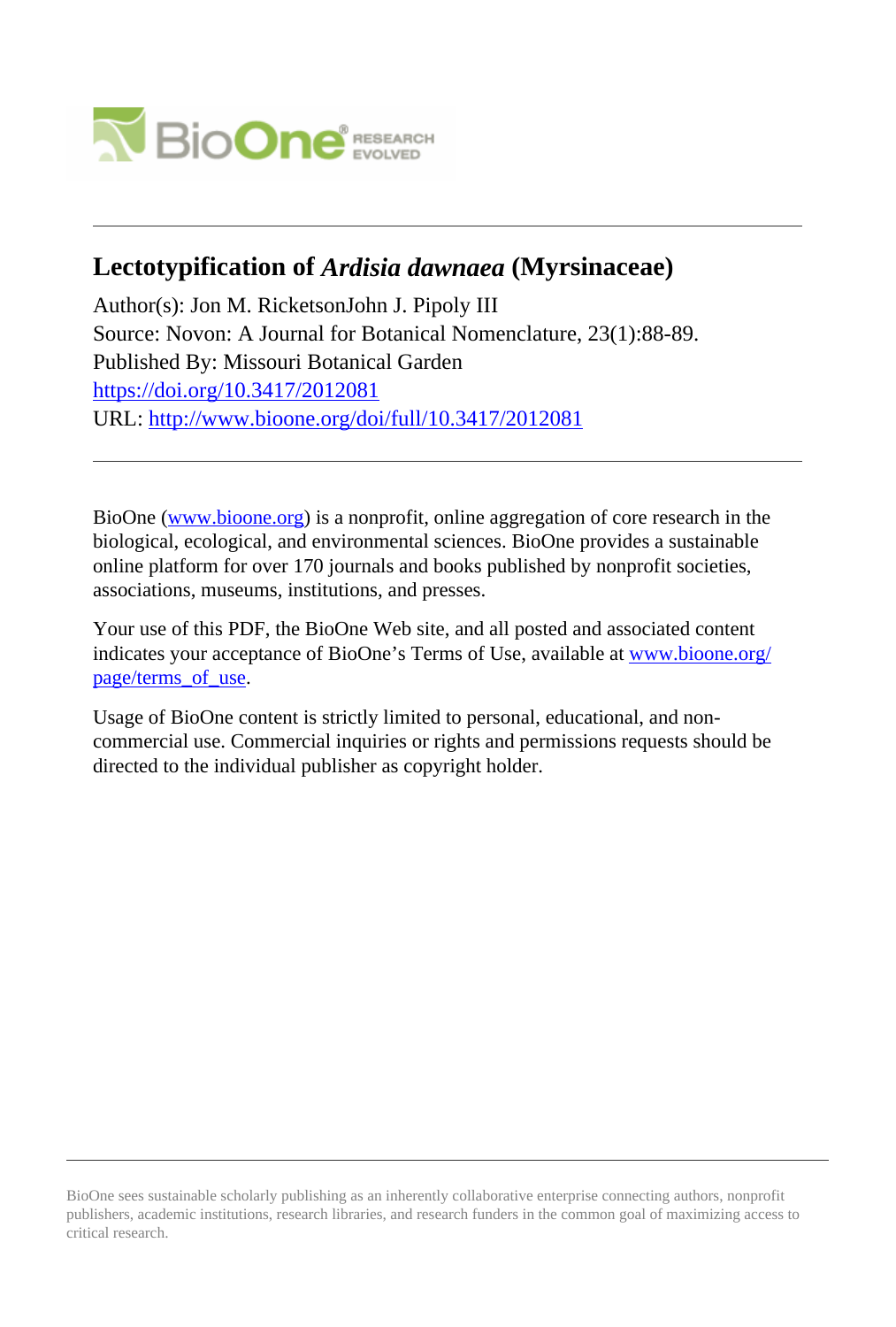

## **Lectotypification of** *Ardisia dawnaea* **(Myrsinaceae)**

Author(s): Jon M. RicketsonJohn J. Pipoly III Source: Novon: A Journal for Botanical Nomenclature, 23(1):88-89. Published By: Missouri Botanical Garden <https://doi.org/10.3417/2012081> URL: <http://www.bioone.org/doi/full/10.3417/2012081>

BioOne [\(www.bioone.org\)](http://www.bioone.org) is a nonprofit, online aggregation of core research in the biological, ecological, and environmental sciences. BioOne provides a sustainable online platform for over 170 journals and books published by nonprofit societies, associations, museums, institutions, and presses.

Your use of this PDF, the BioOne Web site, and all posted and associated content indicates your acceptance of BioOne's Terms of Use, available at [www.bioone.org/](http://www.bioone.org/page/terms_of_use) page/terms of use.

Usage of BioOne content is strictly limited to personal, educational, and noncommercial use. Commercial inquiries or rights and permissions requests should be directed to the individual publisher as copyright holder.

BioOne sees sustainable scholarly publishing as an inherently collaborative enterprise connecting authors, nonprofit publishers, academic institutions, research libraries, and research funders in the common goal of maximizing access to critical research.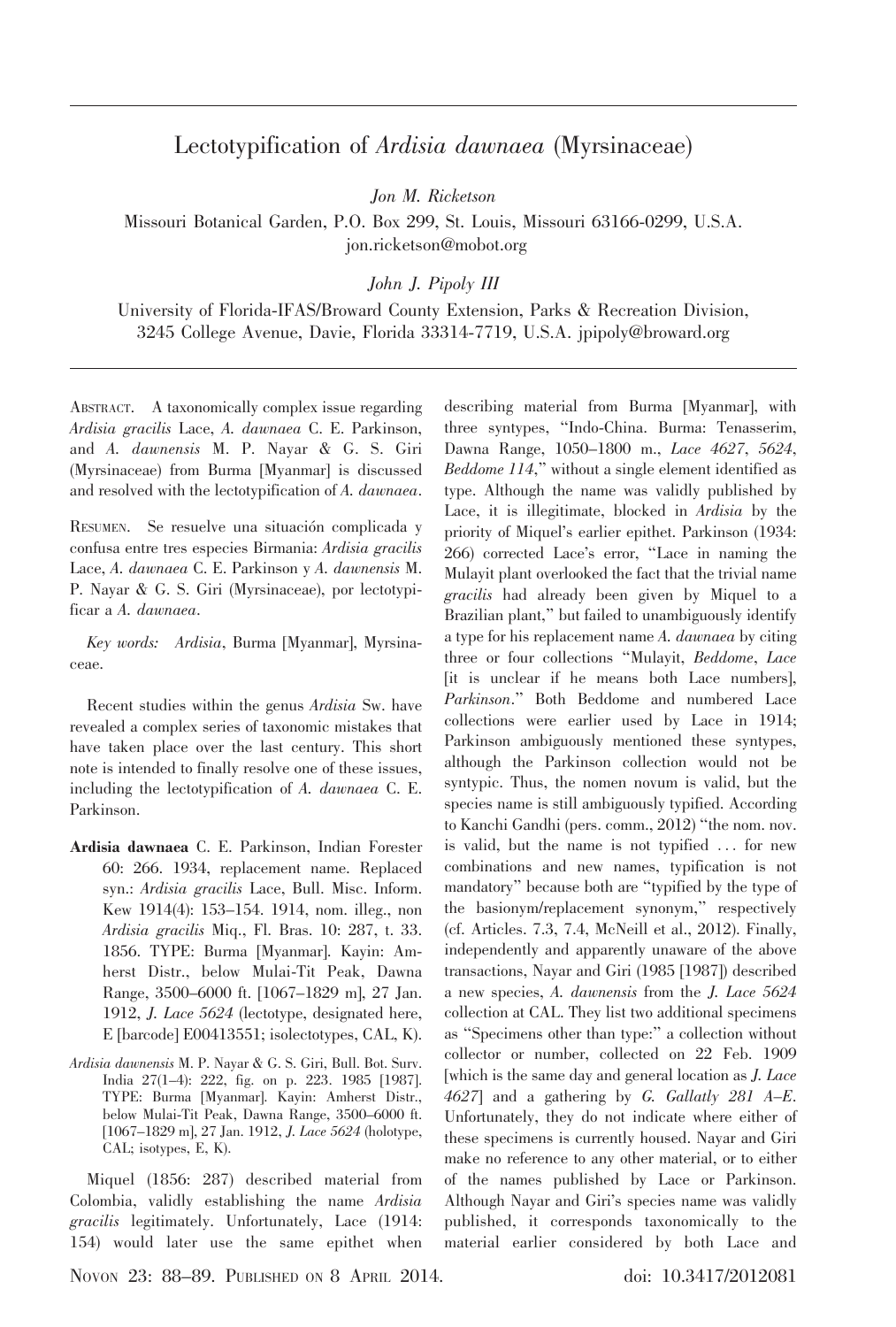### Lectotypification of Ardisia dawnaea (Myrsinaceae)

Jon M. Ricketson

Missouri Botanical Garden, P.O. Box 299, St. Louis, Missouri 63166-0299, U.S.A. jon.ricketson@mobot.org

John J. Pipoly III

University of Florida-IFAS/Broward County Extension, Parks & Recreation Division, 3245 College Avenue, Davie, Florida 33314-7719, U.S.A. jpipoly@broward.org

ABSTRACT. A taxonomically complex issue regarding Ardisia gracilis Lace, A. dawnaea C. E. Parkinson, and A. dawnensis M. P. Nayar & G. S. Giri (Myrsinaceae) from Burma [Myanmar] is discussed and resolved with the lectotypification of A. dawnaea.

RESUMEN. Se resuelve una situación complicada y confusa entre tres especies Birmania: Ardisia gracilis Lace, A. dawnaea C. E. Parkinson y A. dawnensis M. P. Nayar & G. S. Giri (Myrsinaceae), por lectotypificar a A. dawnaea.

Key words: Ardisia, Burma [Myanmar], Myrsinaceae.

Recent studies within the genus Ardisia Sw. have revealed a complex series of taxonomic mistakes that have taken place over the last century. This short note is intended to finally resolve one of these issues, including the lectotypification of A. dawnaea C. E. Parkinson.

- Ardisia dawnaea C. E. Parkinson, Indian Forester 60: 266. 1934, replacement name. Replaced syn.: Ardisia gracilis Lace, Bull. Misc. Inform. Kew 1914(4): 153–154. 1914, nom. illeg., non Ardisia gracilis Miq., Fl. Bras. 10: 287, t. 33. 1856. TYPE: Burma [Myanmar]. Kayin: Amherst Distr., below Mulai-Tit Peak, Dawna Range, 3500–6000 ft. [1067–1829 m], 27 Jan. 1912, J. Lace 5624 (lectotype, designated here, E [barcode] E00413551; isolectotypes, CAL, K).
- Ardisia dawnensis M. P. Nayar & G. S. Giri, Bull. Bot. Surv. India 27(1–4): 222, fig. on p. 223. 1985 [1987]. TYPE: Burma [Myanmar]. Kayin: Amherst Distr., below Mulai-Tit Peak, Dawna Range, 3500–6000 ft. [1067–1829 m], 27 Jan. 1912, J. Lace 5624 (holotype, CAL; isotypes, E, K).

Miquel (1856: 287) described material from Colombia, validly establishing the name Ardisia gracilis legitimately. Unfortunately, Lace (1914: 154) would later use the same epithet when describing material from Burma [Myanmar], with three syntypes, ''Indo-China. Burma: Tenasserim, Dawna Range, 1050–1800 m., Lace 4627, 5624, Beddome 114," without a single element identified as type. Although the name was validly published by Lace, it is illegitimate, blocked in Ardisia by the priority of Miquel's earlier epithet. Parkinson (1934: 266) corrected Lace's error, ''Lace in naming the Mulayit plant overlooked the fact that the trivial name gracilis had already been given by Miquel to a Brazilian plant,'' but failed to unambiguously identify a type for his replacement name A. dawnaea by citing three or four collections "Mulayit, Beddome, Lace [it is unclear if he means both Lace numbers], Parkinson.'' Both Beddome and numbered Lace collections were earlier used by Lace in 1914; Parkinson ambiguously mentioned these syntypes, although the Parkinson collection would not be syntypic. Thus, the nomen novum is valid, but the species name is still ambiguously typified. According to Kanchi Gandhi (pers. comm., 2012) ''the nom. nov. is valid, but the name is not typified ... for new combinations and new names, typification is not mandatory'' because both are ''typified by the type of the basionym/replacement synonym,'' respectively (cf. Articles. 7.3, 7.4, McNeill et al., 2012). Finally, independently and apparently unaware of the above transactions, Nayar and Giri (1985 [1987]) described a new species, A. dawnensis from the J. Lace 5624 collection at CAL. They list two additional specimens as ''Specimens other than type:'' a collection without collector or number, collected on 22 Feb. 1909 [which is the same day and general location as J. Lace 4627] and a gathering by G. Gallatly 281 A–E. Unfortunately, they do not indicate where either of these specimens is currently housed. Nayar and Giri make no reference to any other material, or to either of the names published by Lace or Parkinson. Although Nayar and Giri's species name was validly published, it corresponds taxonomically to the material earlier considered by both Lace and

NOVON 23: 88–89. PUBLISHED ON 8 APRIL 2014. doi: 10.3417/2012081